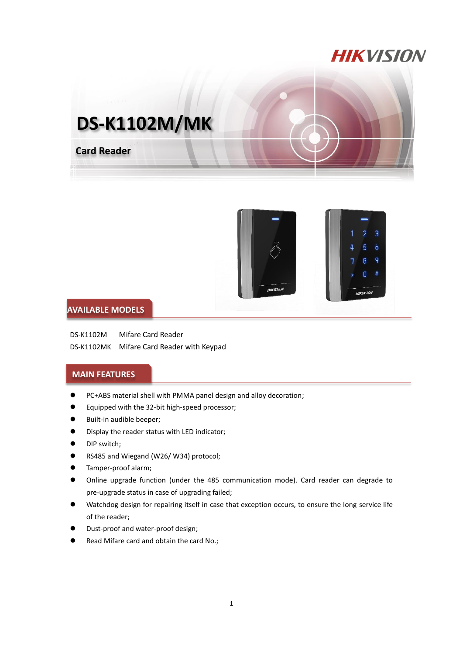## **HIKVISION**





## **AVAILABLE MODELS**

DS-K1102M Mifare Card Reader DS-K1102MK Mifare Card Reader with Keypad

## **MAIN FEATURES**

- PC+ABS material shell with PMMA panel design and alloy decoration;
- Equipped with the 32-bit high-speed processor;
- **Built-in audible beeper;**
- Display the reader status with LED indicator;
- **O** DIP switch;
- RS485 and Wiegand (W26/W34) protocol;
- Tamper-proof alarm;
- Online upgrade function (under the 485 communication mode). Card reader can degrade to pre-upgrade status in case of upgrading failed;
- Watchdog design for repairing itself in case that exception occurs, to ensure the long service life of the reader;
- Dust-proof and water-proof design;
- Read Mifare card and obtain the card No.;